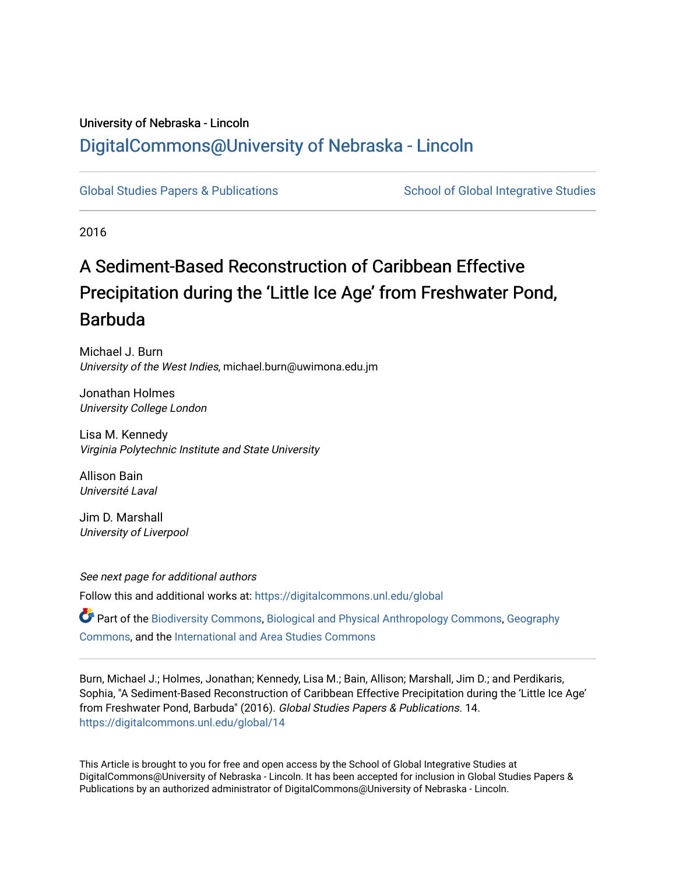## University of Nebraska - Lincoln [DigitalCommons@University of Nebraska - Lincoln](https://digitalcommons.unl.edu/)

[Global Studies Papers & Publications](https://digitalcommons.unl.edu/global) School of Global Integrative Studies

2016

# A Sediment-Based Reconstruction of Caribbean Effective Precipitation during the 'Little Ice Age' from Freshwater Pond, Barbuda

Michael J. Burn University of the West Indies, michael.burn@uwimona.edu.jm

Jonathan Holmes University College London

Lisa M. Kennedy Virginia Polytechnic Institute and State University

Allison Bain Université Laval

Jim D. Marshall University of Liverpool

See next page for additional authors Follow this and additional works at: [https://digitalcommons.unl.edu/global](https://digitalcommons.unl.edu/global?utm_source=digitalcommons.unl.edu%2Fglobal%2F14&utm_medium=PDF&utm_campaign=PDFCoverPages) 

Part of the [Biodiversity Commons](http://network.bepress.com/hgg/discipline/1127?utm_source=digitalcommons.unl.edu%2Fglobal%2F14&utm_medium=PDF&utm_campaign=PDFCoverPages), [Biological and Physical Anthropology Commons,](http://network.bepress.com/hgg/discipline/320?utm_source=digitalcommons.unl.edu%2Fglobal%2F14&utm_medium=PDF&utm_campaign=PDFCoverPages) [Geography](http://network.bepress.com/hgg/discipline/354?utm_source=digitalcommons.unl.edu%2Fglobal%2F14&utm_medium=PDF&utm_campaign=PDFCoverPages) [Commons](http://network.bepress.com/hgg/discipline/354?utm_source=digitalcommons.unl.edu%2Fglobal%2F14&utm_medium=PDF&utm_campaign=PDFCoverPages), and the [International and Area Studies Commons](http://network.bepress.com/hgg/discipline/360?utm_source=digitalcommons.unl.edu%2Fglobal%2F14&utm_medium=PDF&utm_campaign=PDFCoverPages) 

Burn, Michael J.; Holmes, Jonathan; Kennedy, Lisa M.; Bain, Allison; Marshall, Jim D.; and Perdikaris, Sophia, "A Sediment-Based Reconstruction of Caribbean Effective Precipitation during the 'Little Ice Age' from Freshwater Pond, Barbuda" (2016). Global Studies Papers & Publications. 14. [https://digitalcommons.unl.edu/global/14](https://digitalcommons.unl.edu/global/14?utm_source=digitalcommons.unl.edu%2Fglobal%2F14&utm_medium=PDF&utm_campaign=PDFCoverPages)

This Article is brought to you for free and open access by the School of Global Integrative Studies at DigitalCommons@University of Nebraska - Lincoln. It has been accepted for inclusion in Global Studies Papers & Publications by an authorized administrator of DigitalCommons@University of Nebraska - Lincoln.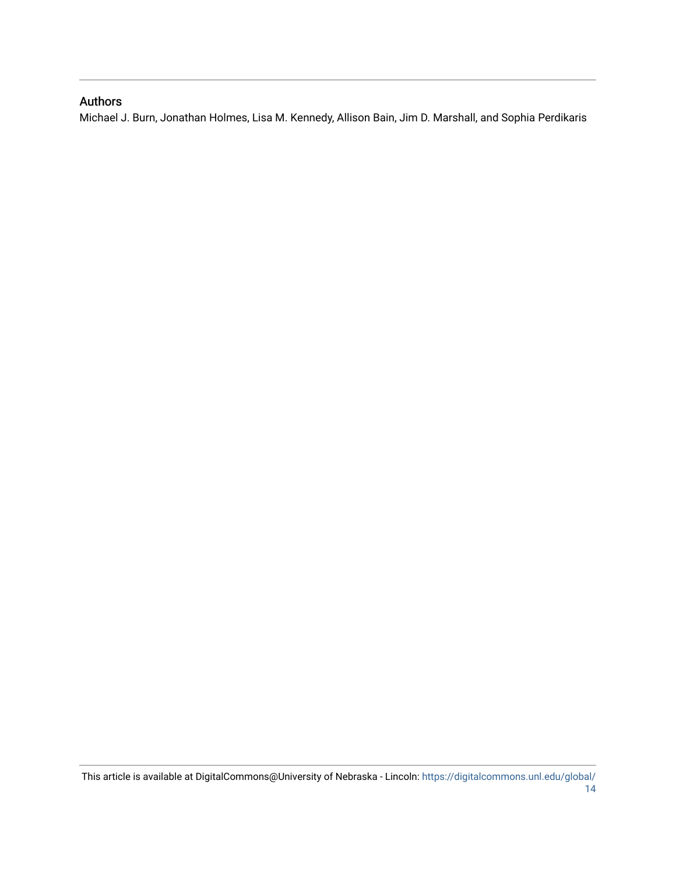## Authors

Michael J. Burn, Jonathan Holmes, Lisa M. Kennedy, Allison Bain, Jim D. Marshall, and Sophia Perdikaris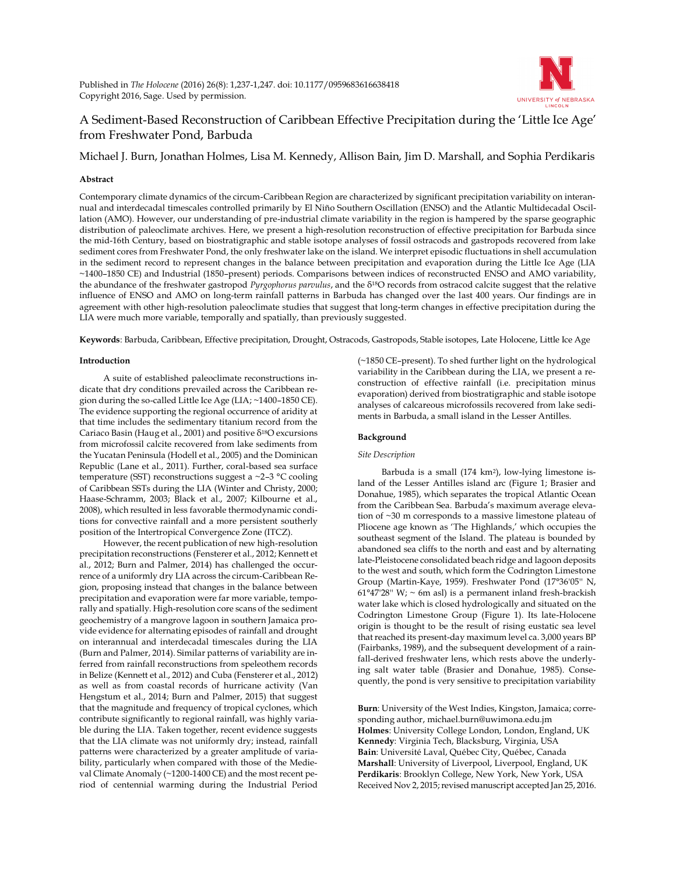

## A Sediment-Based Reconstruction of Caribbean Effective Precipitation during the 'Little Ice Age' from Freshwater Pond, Barbuda

Michael J. Burn, Jonathan Holmes, Lisa M. Kennedy, Allison Bain, Jim D. Marshall, and Sophia Perdikaris

#### **Abstract**

Contemporary climate dynamics of the circum-Caribbean Region are characterized by significant precipitation variability on interannual and interdecadal timescales controlled primarily by El Niño Southern Oscillation (ENSO) and the Atlantic Multidecadal Oscillation (AMO). However, our understanding of pre-industrial climate variability in the region is hampered by the sparse geographic distribution of paleoclimate archives. Here, we present a high-resolution reconstruction of effective precipitation for Barbuda since the mid-16th Century, based on biostratigraphic and stable isotope analyses of fossil ostracods and gastropods recovered from lake sediment cores from Freshwater Pond, the only freshwater lake on the island. We interpret episodic fluctuations in shell accumulation in the sediment record to represent changes in the balance between precipitation and evaporation during the Little Ice Age (LIA ~1400–1850 CE) and Industrial (1850–present) periods. Comparisons between indices of reconstructed ENSO and AMO variability, the abundance of the freshwater gastropod *Pyrgophorus parvulus*, and the δ18O records from ostracod calcite suggest that the relative influence of ENSO and AMO on long-term rainfall patterns in Barbuda has changed over the last 400 years. Our findings are in agreement with other high-resolution paleoclimate studies that suggest that long-term changes in effective precipitation during the LIA were much more variable, temporally and spatially, than previously suggested.

**Keywords**: Barbuda, Caribbean, Effective precipitation, Drought, Ostracods, Gastropods, Stable isotopes, Late Holocene, Little Ice Age

#### **Introduction**

A suite of established paleoclimate reconstructions indicate that dry conditions prevailed across the Caribbean region during the so-called Little Ice Age (LIA; ~1400–1850 CE). The evidence supporting the regional occurrence of aridity at that time includes the sedimentary titanium record from the Cariaco Basin (Haug et al., 2001) and positive  $\delta^{18}O$  excursions from microfossil calcite recovered from lake sediments from the Yucatan Peninsula (Hodell et al., 2005) and the Dominican Republic (Lane et al., 2011). Further, coral-based sea surface temperature (SST) reconstructions suggest a  $\sim$ 2–3 °C cooling of Caribbean SSTs during the LIA (Winter and Christy, 2000; Haase-Schramm, 2003; Black et al., 2007; Kilbourne et al., 2008), which resulted in less favorable thermodynamic conditions for convective rainfall and a more persistent southerly position of the Intertropical Convergence Zone (ITCZ).

However, the recent publication of new high-resolution precipitation reconstructions (Fensterer et al., 2012; Kennett et al., 2012; Burn and Palmer, 2014) has challenged the occurrence of a uniformly dry LIA across the circum-Caribbean Region, proposing instead that changes in the balance between precipitation and evaporation were far more variable, temporally and spatially. High-resolution core scans of the sediment geochemistry of a mangrove lagoon in southern Jamaica provide evidence for alternating episodes of rainfall and drought on interannual and interdecadal timescales during the LIA (Burn and Palmer, 2014). Similar patterns of variability are inferred from rainfall reconstructions from speleothem records in Belize (Kennett et al., 2012) and Cuba (Fensterer et al., 2012) as well as from coastal records of hurricane activity (Van Hengstum et al., 2014; Burn and Palmer, 2015) that suggest that the magnitude and frequency of tropical cyclones, which contribute significantly to regional rainfall, was highly variable during the LIA. Taken together, recent evidence suggests that the LIA climate was not uniformly dry; instead, rainfall patterns were characterized by a greater amplitude of variability, particularly when compared with those of the Medieval Climate Anomaly (~1200-1400 CE) and the most recent period of centennial warming during the Industrial Period (~1850 CE–present). To shed further light on the hydrological variability in the Caribbean during the LIA, we present a reconstruction of effective rainfall (i.e. precipitation minus evaporation) derived from biostratigraphic and stable isotope analyses of calcareous microfossils recovered from lake sediments in Barbuda, a small island in the Lesser Antilles.

#### **Background**

#### *Site Description*

Barbuda is a small (174 km2), low-lying limestone island of the Lesser Antilles island arc (Figure 1; Brasier and Donahue, 1985), which separates the tropical Atlantic Ocean from the Caribbean Sea. Barbuda's maximum average elevation of ~30 m corresponds to a massive limestone plateau of Pliocene age known as 'The Highlands,' which occupies the southeast segment of the Island. The plateau is bounded by abandoned sea cliffs to the north and east and by alternating late-Pleistocene consolidated beach ridge and lagoon deposits to the west and south, which form the Codrington Limestone Group (Martin-Kaye, 1959). Freshwater Pond (17°36'05'' N,  $61°47'28''$  W;  $\sim$  6m asl) is a permanent inland fresh-brackish water lake which is closed hydrologically and situated on the Codrington Limestone Group (Figure 1). Its late-Holocene origin is thought to be the result of rising eustatic sea level that reached its present-day maximum level ca. 3,000 years BP (Fairbanks, 1989), and the subsequent development of a rainfall-derived freshwater lens, which rests above the underlying salt water table (Brasier and Donahue, 1985). Consequently, the pond is very sensitive to precipitation variability

**Burn**: University of the West Indies, Kingston, Jamaica; corresponding author, michael.burn@uwimona.edu.jm **Holmes**: University College London, London, England, UK **Kennedy**: Virginia Tech, Blacksburg, Virginia, USA **Bain**: Université Laval, Québec City, Québec, Canada **Marshall**: University of Liverpool, Liverpool, England, UK **Perdikaris**: Brooklyn College, New York, New York, USA Received Nov 2, 2015; revised manuscript accepted Jan 25, 2016.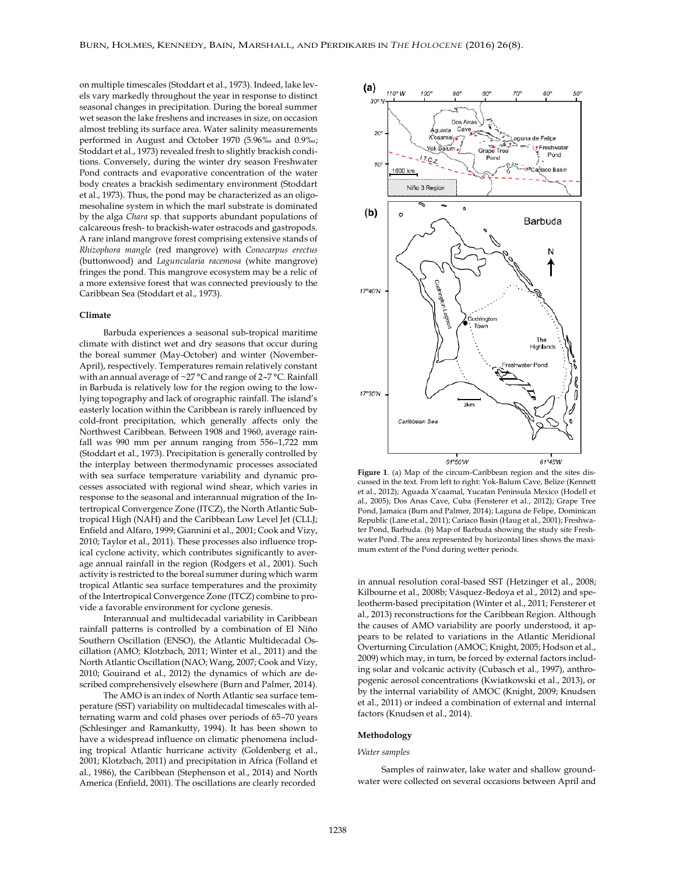on multiple timescales (Stoddart et al., 1973). Indeed, lake levels vary markedly throughout the year in response to distinct seasonal changes in precipitation. During the boreal summer wet season the lake freshens and increases in size, on occasion almost trebling its surface area. Water salinity measurements performed in August and October 1970 (5.96‰ and 0.9‰; Stoddart et al., 1973) revealed fresh to slightly brackish conditions. Conversely, during the winter dry season Freshwater Pond contracts and evaporative concentration of the water body creates a brackish sedimentary environment (Stoddart et al., 1973). Thus, the pond may be characterized as an oligomesohaline system in which the marl substrate is dominated by the alga *Chara* sp. that supports abundant populations of calcareous fresh- to brackish-water ostracods and gastropods. A rare inland mangrove forest comprising extensive stands of *Rhizophora mangle* (red mangrove) with *Conocarpus erectus* (buttonwood) and *Laguncularia racemosa* (white mangrove) fringes the pond. This mangrove ecosystem may be a relic of a more extensive forest that was connected previously to the Caribbean Sea (Stoddart et al., 1973).

#### **Climate**

Barbuda experiences a seasonal sub-tropical maritime climate with distinct wet and dry seasons that occur during the boreal summer (May-October) and winter (November-April), respectively. Temperatures remain relatively constant with an annual average of ~27 °C and range of 2–7 °C. Rainfall in Barbuda is relatively low for the region owing to the lowlying topography and lack of orographic rainfall. The island's easterly location within the Caribbean is rarely influenced by cold-front precipitation, which generally affects only the Northwest Caribbean. Between 1908 and 1960, average rainfall was 990 mm per annum ranging from 556–1,722 mm (Stoddart et al., 1973). Precipitation is generally controlled by the interplay between thermodynamic processes associated with sea surface temperature variability and dynamic processes associated with regional wind shear, which varies in response to the seasonal and interannual migration of the Intertropical Convergence Zone (ITCZ), the North Atlantic Subtropical High (NAH) and the Caribbean Low Level Jet (CLLJ; Enfield and Alfaro, 1999; Giannini et al., 2001; Cook and Vizy, 2010; Taylor et al., 2011). These processes also influence tropical cyclone activity, which contributes significantly to average annual rainfall in the region (Rodgers et al., 2001). Such activity is restricted to the boreal summer during which warm tropical Atlantic sea surface temperatures and the proximity of the Intertropical Convergence Zone (ITCZ) combine to provide a favorable environment for cyclone genesis.

Interannual and multidecadal variability in Caribbean rainfall patterns is controlled by a combination of El Niño Southern Oscillation (ENSO), the Atlantic Multidecadal Oscillation (AMO; Klotzbach, 2011; Winter et al., 2011) and the North Atlantic Oscillation (NAO; Wang, 2007; Cook and Vizy, 2010; Gouirand et al., 2012) the dynamics of which are described comprehensively elsewhere (Burn and Palmer, 2014).

The AMO is an index of North Atlantic sea surface temperature (SST) variability on multidecadal timescales with alternating warm and cold phases over periods of 65–70 years (Schlesinger and Ramankutty, 1994). It has been shown to have a widespread influence on climatic phenomena including tropical Atlantic hurricane activity (Goldenberg et al., 2001; Klotzbach, 2011) and precipitation in Africa (Folland et al., 1986), the Caribbean (Stephenson et al., 2014) and North America (Enfield, 2001). The oscillations are clearly recorded



**Figure 1**. (a) Map of the circum-Caribbean region and the sites discussed in the text. From left to right: Yok-Balum Cave, Belize (Kennett et al., 2012); Aguada X'caamal, Yucatan Peninsula Mexico (Hodell et al., 2005); Dos Anas Cave, Cuba (Fensterer et al., 2012); Grape Tree Pond, Jamaica (Burn and Palmer, 2014); Laguna de Felipe, Dominican Republic (Lane et al., 2011); Cariaco Basin (Haug et al., 2001); Freshwater Pond, Barbuda. (b) Map of Barbuda showing the study site Freshwater Pond. The area represented by horizontal lines shows the maximum extent of the Pond during wetter periods.

in annual resolution coral-based SST (Hetzinger et al., 2008; Kilbourne et al., 2008b; Vásquez-Bedoya et al., 2012) and speleotherm-based precipitation (Winter et al., 2011; Fensterer et al., 2013) reconstructions for the Caribbean Region. Although the causes of AMO variability are poorly understood, it appears to be related to variations in the Atlantic Meridional Overturning Circulation (AMOC; Knight, 2005; Hodson et al., 2009) which may, in turn, be forced by external factors including solar and volcanic activity (Cubasch et al., 1997), anthropogenic aerosol concentrations (Kwiatkowski et al., 2013), or by the internal variability of AMOC (Knight, 2009; Knudsen et al., 2011) or indeed a combination of external and internal factors (Knudsen et al., 2014).

#### **Methodology**

#### *Water samples*

Samples of rainwater, lake water and shallow groundwater were collected on several occasions between April and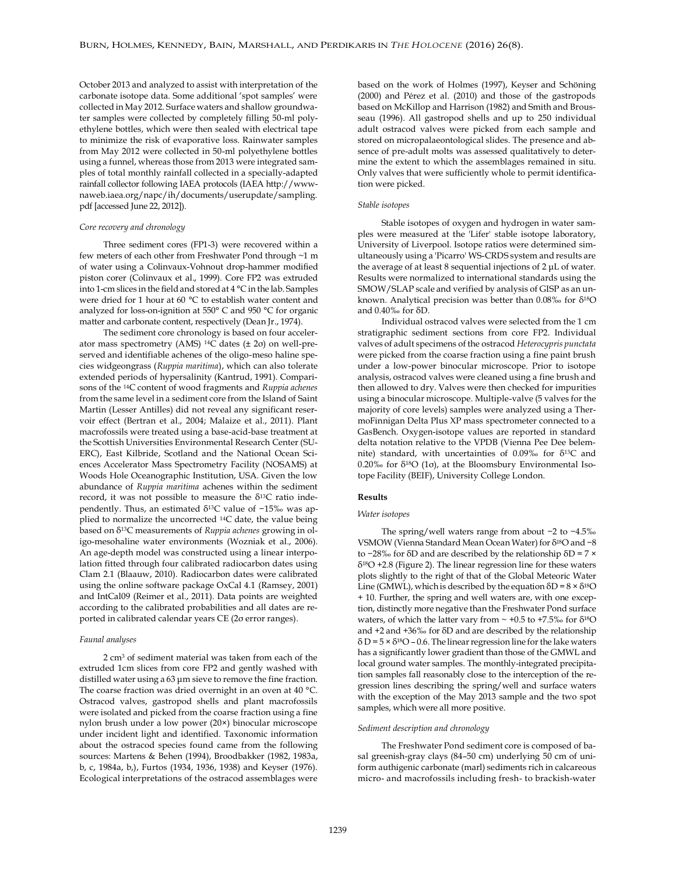October 2013 and analyzed to assist with interpretation of the carbonate isotope data. Some additional 'spot samples' were collected in May 2012. Surface waters and shallow groundwater samples were collected by completely filling 50-ml polyethylene bottles, which were then sealed with electrical tape to minimize the risk of evaporative loss. Rainwater samples from May 2012 were collected in 50-ml polyethylene bottles using a funnel, whereas those from 2013 were integrated samples of total monthly rainfall collected in a specially-adapted rainfall collector following IAEA protocols (IAEA http://wwwnaweb.iaea.org/napc/ih/documents/userupdate/sampling. pdf [accessed June 22, 2012]).

#### *Core recovery and chronology*

Three sediment cores (FP1-3) were recovered within a few meters of each other from Freshwater Pond through ~1 m of water using a Colinvaux-Vohnout drop-hammer modified piston corer (Colinvaux et al., 1999). Core FP2 was extruded into 1-cm slices in the field and stored at 4 °C in the lab. Samples were dried for 1 hour at 60 °C to establish water content and analyzed for loss-on-ignition at 550° C and 950 °C for organic matter and carbonate content, respectively (Dean Jr., 1974).

The sediment core chronology is based on four accelerator mass spectrometry (AMS) 14C dates (± 2σ) on well-preserved and identifiable achenes of the oligo-meso haline species widgeongrass (*Ruppia maritima*), which can also tolerate extended periods of hypersalinity (Kantrud, 1991). Comparisons of the 14C content of wood fragments and *Ruppia achenes* from the same level in a sediment core from the Island of Saint Martin (Lesser Antilles) did not reveal any significant reservoir effect (Bertran et al., 2004; Malaize et al., 2011). Plant macrofossils were treated using a base-acid-base treatment at the Scottish Universities Environmental Research Center (SU-ERC), East Kilbride, Scotland and the National Ocean Sciences Accelerator Mass Spectrometry Facility (NOSAMS) at Woods Hole Oceanographic Institution, USA. Given the low abundance of *Ruppia maritima* achenes within the sediment record, it was not possible to measure the  $\delta^{13}C$  ratio independently. Thus, an estimated δ13C value of −15‰ was applied to normalize the uncorrected 14C date, the value being based on δ13C measurements of *Ruppia achenes* growing in oligo-mesohaline water environments (Wozniak et al., 2006). An age-depth model was constructed using a linear interpolation fitted through four calibrated radiocarbon dates using Clam 2.1 (Blaauw, 2010). Radiocarbon dates were calibrated using the online software package OxCal 4.1 (Ramsey, 2001) and IntCal09 (Reimer et al., 2011). Data points are weighted according to the calibrated probabilities and all dates are reported in calibrated calendar years CE (2σ error ranges).

#### *Faunal analyses*

2 cm<sup>3</sup> of sediment material was taken from each of the extruded 1cm slices from core FP2 and gently washed with distilled water using a 63 μm sieve to remove the fine fraction. The coarse fraction was dried overnight in an oven at 40 °C. Ostracod valves, gastropod shells and plant macrofossils were isolated and picked from the coarse fraction using a fine nylon brush under a low power (20×) binocular microscope under incident light and identified. Taxonomic information about the ostracod species found came from the following sources: Martens & Behen (1994), Broodbakker (1982, 1983a, b, c, 1984a, b,), Furtos (1934, 1936, 1938) and Keyser (1976). Ecological interpretations of the ostracod assemblages were based on the work of Holmes (1997), Keyser and Schöning (2000) and Pérez et al. (2010) and those of the gastropods based on McKillop and Harrison (1982) and Smith and Brousseau (1996). All gastropod shells and up to 250 individual adult ostracod valves were picked from each sample and stored on micropalaeontological slides. The presence and absence of pre-adult molts was assessed qualitatively to determine the extent to which the assemblages remained in situ. Only valves that were sufficiently whole to permit identification were picked.

#### *Stable isotopes*

Stable isotopes of oxygen and hydrogen in water samples were measured at the 'Lifer' stable isotope laboratory, University of Liverpool. Isotope ratios were determined simultaneously using a 'Picarro' WS-CRDS system and results are the average of at least 8 sequential injections of 2 μL of water. Results were normalized to international standards using the SMOW/SLAP scale and verified by analysis of GISP as an unknown. Analytical precision was better than  $0.08\%$  for  $\delta^{18}O$ and 0.40‰ for δD.

Individual ostracod valves were selected from the 1 cm stratigraphic sediment sections from core FP2. Individual valves of adult specimens of the ostracod *Heterocypris punctata* were picked from the coarse fraction using a fine paint brush under a low-power binocular microscope. Prior to isotope analysis, ostracod valves were cleaned using a fine brush and then allowed to dry. Valves were then checked for impurities using a binocular microscope. Multiple-valve (5 valves for the majority of core levels) samples were analyzed using a ThermoFinnigan Delta Plus XP mass spectrometer connected to a GasBench. Oxygen-isotope values are reported in standard delta notation relative to the VPDB (Vienna Pee Dee belemnite) standard, with uncertainties of  $0.09\%$  for  $\delta^{13}C$  and 0.20‰ for δ18O (1σ), at the Bloomsbury Environmental Isotope Facility (BEIF), University College London.

#### **Results**

#### *Water isotopes*

The spring/well waters range from about −2 to −4.5‰ VSMOW (Vienna Standard Mean Ocean Water) for δ18O and −8 to −28‰ for δD and are described by the relationship δD = 7 ×  $\delta^{18}O$  +2.8 (Figure 2). The linear regression line for these waters plots slightly to the right of that of the Global Meteoric Water Line (GMWL), which is described by the equation  $\delta D = 8 \times \delta^{18}O$ + 10. Further, the spring and well waters are, with one exception, distinctly more negative than the Freshwater Pond surface waters, of which the latter vary from  $\sim$  +0.5 to +7.5‰ for  $\delta^{18}\mathrm{O}$ and +2 and +36‰ for δD and are described by the relationship  $\delta$  D = 5 ×  $\delta$ <sup>18</sup>O – 0.6. The linear regression line for the lake waters has a significantly lower gradient than those of the GMWL and local ground water samples. The monthly-integrated precipitation samples fall reasonably close to the interception of the regression lines describing the spring/well and surface waters with the exception of the May 2013 sample and the two spot samples, which were all more positive.

#### *Sediment description and chronology*

The Freshwater Pond sediment core is composed of basal greenish-gray clays (84–50 cm) underlying 50 cm of uniform authigenic carbonate (marl) sediments rich in calcareous micro- and macrofossils including fresh- to brackish-water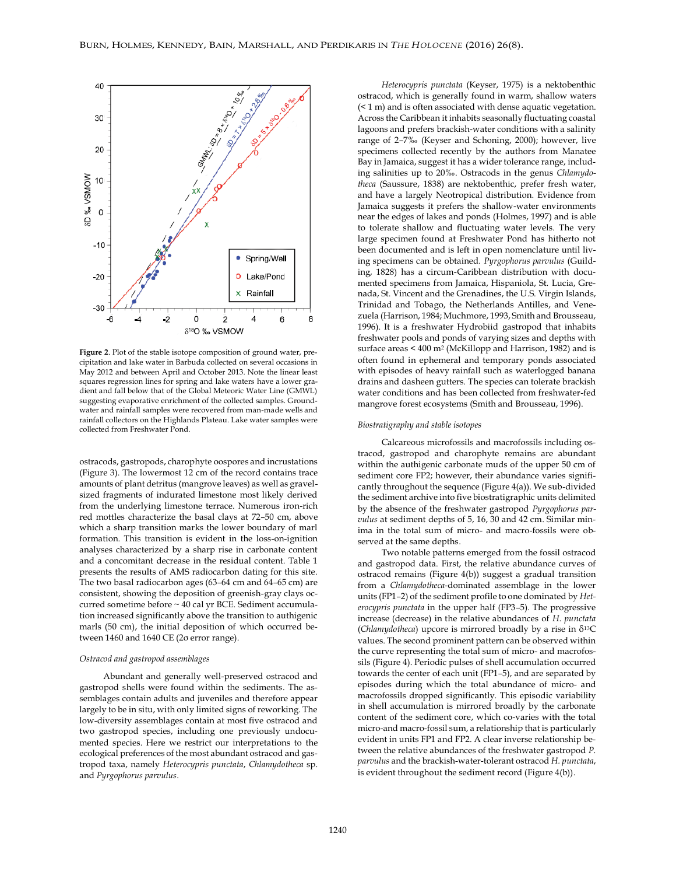

**Figure 2**. Plot of the stable isotope composition of ground water, precipitation and lake water in Barbuda collected on several occasions in May 2012 and between April and October 2013. Note the linear least squares regression lines for spring and lake waters have a lower gradient and fall below that of the Global Meteoric Water Line (GMWL) suggesting evaporative enrichment of the collected samples. Groundwater and rainfall samples were recovered from man-made wells and rainfall collectors on the Highlands Plateau. Lake water samples were collected from Freshwater Pond.

ostracods, gastropods, charophyte oospores and incrustations (Figure 3). The lowermost 12 cm of the record contains trace amounts of plant detritus (mangrove leaves) as well as gravelsized fragments of indurated limestone most likely derived from the underlying limestone terrace. Numerous iron-rich red mottles characterize the basal clays at 72–50 cm, above which a sharp transition marks the lower boundary of marl formation. This transition is evident in the loss-on-ignition analyses characterized by a sharp rise in carbonate content and a concomitant decrease in the residual content. Table 1 presents the results of AMS radiocarbon dating for this site. The two basal radiocarbon ages (63–64 cm and 64–65 cm) are consistent, showing the deposition of greenish-gray clays occurred sometime before ~ 40 cal yr BCE. Sediment accumulation increased significantly above the transition to authigenic marls (50 cm), the initial deposition of which occurred between 1460 and 1640 CE (2σ error range).

#### *Ostracod and gastropod assemblages*

Abundant and generally well-preserved ostracod and gastropod shells were found within the sediments. The assemblages contain adults and juveniles and therefore appear largely to be in situ, with only limited signs of reworking. The low-diversity assemblages contain at most five ostracod and two gastropod species, including one previously undocumented species. Here we restrict our interpretations to the ecological preferences of the most abundant ostracod and gastropod taxa, namely *Heterocypris punctata*, *Chlamydotheca* sp. and *Pyrgophorus parvulus*.

*Heterocypris punctata* (Keyser, 1975) is a nektobenthic ostracod, which is generally found in warm, shallow waters (< 1 m) and is often associated with dense aquatic vegetation. Across the Caribbean it inhabits seasonally fluctuating coastal lagoons and prefers brackish-water conditions with a salinity range of 2–7‰ (Keyser and Schoning, 2000); however, live specimens collected recently by the authors from Manatee Bay in Jamaica, suggest it has a wider tolerance range, including salinities up to 20‰. Ostracods in the genus *Chlamydotheca* (Saussure, 1838) are nektobenthic, prefer fresh water, and have a largely Neotropical distribution. Evidence from Jamaica suggests it prefers the shallow-water environments near the edges of lakes and ponds (Holmes, 1997) and is able to tolerate shallow and fluctuating water levels. The very large specimen found at Freshwater Pond has hitherto not been documented and is left in open nomenclature until living specimens can be obtained. *Pyrgophorus parvulus* (Guilding, 1828) has a circum-Caribbean distribution with documented specimens from Jamaica, Hispaniola, St. Lucia, Grenada, St. Vincent and the Grenadines, the U.S. Virgin Islands, Trinidad and Tobago, the Netherlands Antilles, and Venezuela (Harrison, 1984; Muchmore, 1993, Smith and Brousseau, 1996). It is a freshwater Hydrobiid gastropod that inhabits freshwater pools and ponds of varying sizes and depths with surface areas < 400 m<sup>2</sup> (McKillopp and Harrison, 1982) and is often found in ephemeral and temporary ponds associated with episodes of heavy rainfall such as waterlogged banana drains and dasheen gutters. The species can tolerate brackish water conditions and has been collected from freshwater-fed mangrove forest ecosystems (Smith and Brousseau, 1996).

#### *Biostratigraphy and stable isotopes*

Calcareous microfossils and macrofossils including ostracod, gastropod and charophyte remains are abundant within the authigenic carbonate muds of the upper 50 cm of sediment core FP2; however, their abundance varies significantly throughout the sequence (Figure 4(a)). We sub-divided the sediment archive into five biostratigraphic units delimited by the absence of the freshwater gastropod *Pyrgophorus parvulus* at sediment depths of 5, 16, 30 and 42 cm. Similar minima in the total sum of micro- and macro-fossils were observed at the same depths.

Two notable patterns emerged from the fossil ostracod and gastropod data. First, the relative abundance curves of ostracod remains (Figure 4(b)) suggest a gradual transition from a *Chlamydotheca*-dominated assemblage in the lower units (FP1–2) of the sediment profile to one dominated by *Heterocypris punctata* in the upper half (FP3–5). The progressive increase (decrease) in the relative abundances of *H. punctata* (*Chlamydotheca*) upcore is mirrored broadly by a rise in δ13C values. The second prominent pattern can be observed within the curve representing the total sum of micro- and macrofossils (Figure 4). Periodic pulses of shell accumulation occurred towards the center of each unit (FP1–5), and are separated by episodes during which the total abundance of micro- and macrofossils dropped significantly. This episodic variability in shell accumulation is mirrored broadly by the carbonate content of the sediment core, which co-varies with the total micro-and macro-fossil sum, a relationship that is particularly evident in units FP1 and FP2. A clear inverse relationship between the relative abundances of the freshwater gastropod *P. parvulus* and the brackish-water-tolerant ostracod *H. punctata*, is evident throughout the sediment record (Figure 4(b)).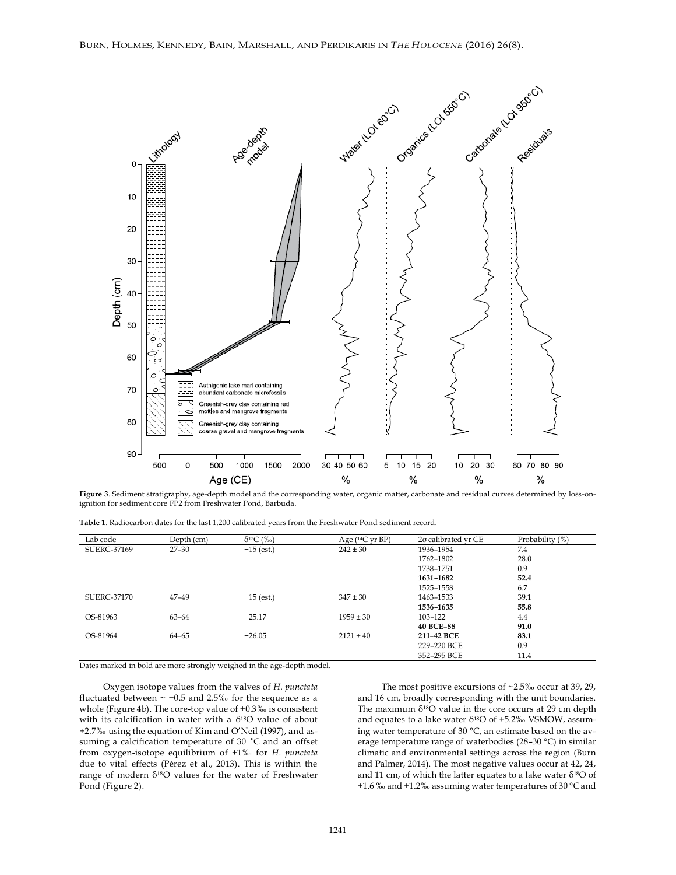

**Figure 3**. Sediment stratigraphy, age-depth model and the corresponding water, organic matter, carbonate and residual curves determined by loss-onignition for sediment core FP2 from Freshwater Pond, Barbuda.

**Table 1**. Radiocarbon dates for the last 1,200 calibrated years from the Freshwater Pond sediment record.

| Lab code    | Depth (cm) | $\delta^{13}C$ (%o) | Age $(14C \text{ yr BP})$ | 20 calibrated yr CE | Probability (%) |
|-------------|------------|---------------------|---------------------------|---------------------|-----------------|
| SUERC-37169 | $27 - 30$  | $-15$ (est.)        | $242 \pm 30$              | 1936-1954           | 7.4             |
|             |            |                     |                           | 1762-1802           | 28.0            |
|             |            |                     |                           | 1738-1751           | 0.9             |
|             |            |                     |                           | 1631-1682           | 52.4            |
|             |            |                     |                           | 1525-1558           | 6.7             |
| SUERC-37170 | $47 - 49$  | $-15$ (est.)        | $347 \pm 30$              | 1463-1533           | 39.1            |
|             |            |                     |                           | 1536-1635           | 55.8            |
| OS-81963    | $63 - 64$  | $-25.17$            | $1959 \pm 30$             | 103-122             | 4.4             |
|             |            |                     |                           | <b>40 BCE-88</b>    | 91.0            |
| OS-81964    | 64-65      | $-26.05$            | $2121 \pm 40$             | 211-42 BCE          | 83.1            |
|             |            |                     |                           | 229-220 BCE         | 0.9             |
|             |            |                     |                           | 352-295 BCE         | 11.4            |

Dates marked in bold are more strongly weighed in the age-depth model.

Oxygen isotope values from the valves of *H. punctata* fluctuated between  $\sim$  -0.5 and 2.5‰ for the sequence as a whole (Figure 4b). The core-top value of +0.3‰ is consistent with its calcification in water with a  $\delta^{18}O$  value of about +2.7‰ using the equation of Kim and O'Neil (1997), and assuming a calcification temperature of 30 ˚C and an offset from oxygen-isotope equilibrium of +1‰ for *H. punctata* due to vital effects (Pérez et al., 2013). This is within the range of modern  $δ<sup>18</sup>O$  values for the water of Freshwater Pond (Figure 2).

The most positive excursions of ~2.5‰ occur at 39, 29, and 16 cm, broadly corresponding with the unit boundaries. The maximum  $\delta^{18}O$  value in the core occurs at 29 cm depth and equates to a lake water  $\delta^{18}O$  of +5.2% VSMOW, assuming water temperature of 30 °C, an estimate based on the average temperature range of waterbodies (28–30 °C) in similar climatic and environmental settings across the region (Burn and Palmer, 2014). The most negative values occur at 42, 24, and 11 cm, of which the latter equates to a lake water δ18O of +1.6 ‰ and +1.2‰ assuming water temperatures of 30 °C and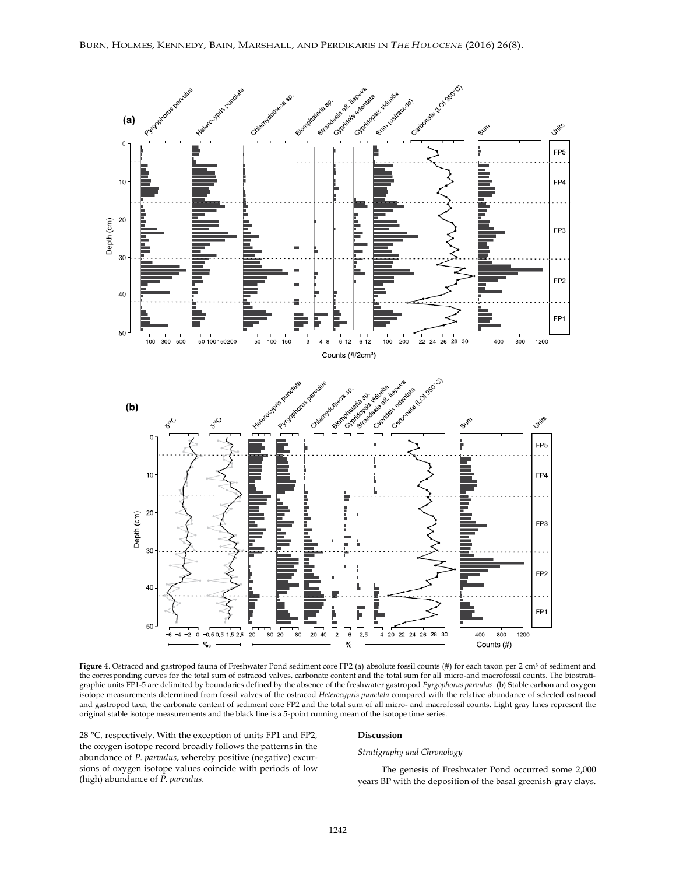

**Figure 4**. Ostracod and gastropod fauna of Freshwater Pond sediment core FP2 (a) absolute fossil counts (#) for each taxon per 2 cm<sup>3</sup> of sediment and the corresponding curves for the total sum of ostracod valves, carbonate content and the total sum for all micro-and macrofossil counts. The biostratigraphic units FP1-5 are delimited by boundaries defined by the absence of the freshwater gastropod *Pyrgophorus parvulus*. (b) Stable carbon and oxygen isotope measurements determined from fossil valves of the ostracod *Heterocypris punctata* compared with the relative abundance of selected ostracod and gastropod taxa, the carbonate content of sediment core FP2 and the total sum of all micro- and macrofossil counts. Light gray lines represent the original stable isotope measurements and the black line is a 5-point running mean of the isotope time series.

28 °C, respectively. With the exception of units FP1 and FP2, the oxygen isotope record broadly follows the patterns in the abundance of *P. parvulus*, whereby positive (negative) excursions of oxygen isotope values coincide with periods of low (high) abundance of *P. parvulus*.

#### **Discussion**

#### *Stratigraphy and Chronology*

The genesis of Freshwater Pond occurred some 2,000 years BP with the deposition of the basal greenish-gray clays.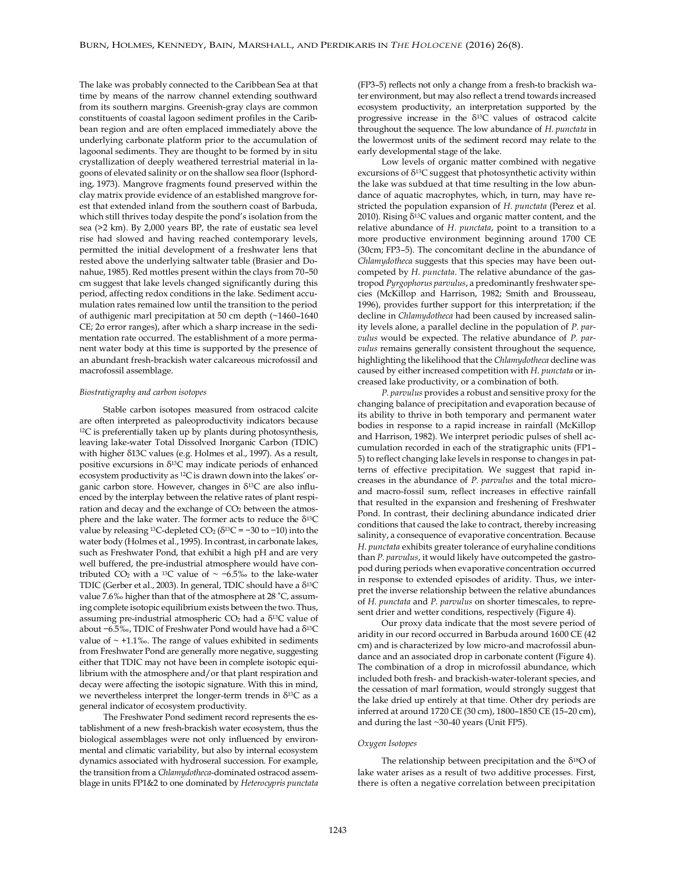The lake was probably connected to the Caribbean Sea at that time by means of the narrow channel extending southward from its southern margins. Greenish-gray clays are common constituents of coastal lagoon sediment profiles in the Caribbean region and are often emplaced immediately above the underlying carbonate platform prior to the accumulation of lagoonal sediments. They are thought to be formed by in situ crystallization of deeply weathered terrestrial material in lagoons of elevated salinity or on the shallow sea floor (Isphording, 1973). Mangrove fragments found preserved within the clay matrix provide evidence of an established mangrove forest that extended inland from the southern coast of Barbuda, which still thrives today despite the pond's isolation from the sea (>2 km). By 2,000 years BP, the rate of eustatic sea level rise had slowed and having reached contemporary levels, permitted the initial development of a freshwater lens that rested above the underlying saltwater table (Brasier and Donahue, 1985). Red mottles present within the clays from 70–50 cm suggest that lake levels changed significantly during this period, affecting redox conditions in the lake. Sediment accumulation rates remained low until the transition to the period of authigenic marl precipitation at 50 cm depth (~1460–1640 CE; 2σ error ranges), after which a sharp increase in the sedimentation rate occurred. The establishment of a more permanent water body at this time is supported by the presence of an abundant fresh-brackish water calcareous microfossil and macrofossil assemblage.

#### *Biostratigraphy and carbon isotopes*

Stable carbon isotopes measured from ostracod calcite are often interpreted as paleoproductivity indicators because <sup>12</sup>C is preferentially taken up by plants during photosynthesis, leaving lake-water Total Dissolved Inorganic Carbon (TDIC) with higher δ13C values (e.g. Holmes et al., 1997). As a result, positive excursions in  $\delta^{13}$ C may indicate periods of enhanced ecosystem productivity as 12C is drawn down into the lakes' organic carbon store. However, changes in δ13C are also influenced by the interplay between the relative rates of plant respiration and decay and the exchange of CO<sub>2</sub> between the atmosphere and the lake water. The former acts to reduce the δ13C value by releasing <sup>13</sup>C-depleted  $CO<sub>2</sub>$  ( $\delta$ <sup>13</sup>C = −30 to −10) into the water body (Holmes et al., 1995). In contrast, in carbonate lakes, such as Freshwater Pond, that exhibit a high pH and are very well buffered, the pre-industrial atmosphere would have contributed CO<sub>2</sub> with a <sup>13</sup>C value of ~ −6.5‰ to the lake-water TDIC (Gerber et al., 2003). In general, TDIC should have a δ13C value 7.6‰ higher than that of the atmosphere at 28 ˚C, assuming complete isotopic equilibrium exists between the two. Thus, assuming pre-industrial atmospheric  $CO<sub>2</sub>$  had a  $\delta^{13}C$  value of about −6.5‰, TDIC of Freshwater Pond would have had a δ13C value of  $\sim$  +1.1‰. The range of values exhibited in sediments from Freshwater Pond are generally more negative, suggesting either that TDIC may not have been in complete isotopic equilibrium with the atmosphere and/or that plant respiration and decay were affecting the isotopic signature. With this in mind, we nevertheless interpret the longer-term trends in δ13C as a general indicator of ecosystem productivity.

The Freshwater Pond sediment record represents the establishment of a new fresh-brackish water ecosystem, thus the biological assemblages were not only influenced by environmental and climatic variability, but also by internal ecosystem dynamics associated with hydroseral succession. For example, the transition from a *Chlamydotheca*-dominated ostracod assemblage in units FP1&2 to one dominated by *Heterocypris punctata* (FP3–5) reflects not only a change from a fresh-to brackish water environment, but may also reflect a trend towards increased ecosystem productivity, an interpretation supported by the progressive increase in the  $\delta^{13}$ C values of ostracod calcite throughout the sequence. The low abundance of *H. punctata* in the lowermost units of the sediment record may relate to the early developmental stage of the lake.

Low levels of organic matter combined with negative excursions of  $\delta^{13}$ C suggest that photosynthetic activity within the lake was subdued at that time resulting in the low abundance of aquatic macrophytes, which, in turn, may have restricted the population expansion of *H. punctata* (Perez et al. 2010). Rising  $δ<sup>13</sup>C$  values and organic matter content, and the relative abundance of *H. punctata*, point to a transition to a more productive environment beginning around 1700 CE (30cm; FP3–5). The concomitant decline in the abundance of *Chlamydotheca* suggests that this species may have been outcompeted by *H. punctata*. The relative abundance of the gastropod *Pyrgophorus parvulus*, a predominantly freshwater species (McKillop and Harrison, 1982; Smith and Brousseau, 1996), provides further support for this interpretation; if the decline in *Chlamydotheca* had been caused by increased salinity levels alone, a parallel decline in the population of *P. parvulus* would be expected. The relative abundance of *P. parvulus* remains generally consistent throughout the sequence, highlighting the likelihood that the *Chlamydotheca* decline was caused by either increased competition with *H. punctata* or increased lake productivity, or a combination of both.

*P. parvulus* provides a robust and sensitive proxy for the changing balance of precipitation and evaporation because of its ability to thrive in both temporary and permanent water bodies in response to a rapid increase in rainfall (McKillop and Harrison, 1982). We interpret periodic pulses of shell accumulation recorded in each of the stratigraphic units (FP1– 5) to reflect changing lake levels in response to changes in patterns of effective precipitation. We suggest that rapid increases in the abundance of *P. parvulus* and the total microand macro-fossil sum, reflect increases in effective rainfall that resulted in the expansion and freshening of Freshwater Pond. In contrast, their declining abundance indicated drier conditions that caused the lake to contract, thereby increasing salinity, a consequence of evaporative concentration. Because *H. punctata* exhibits greater tolerance of euryhaline conditions than *P. parvulus*, it would likely have outcompeted the gastropod during periods when evaporative concentration occurred in response to extended episodes of aridity. Thus, we interpret the inverse relationship between the relative abundances of *H. punctata* and *P. parvulus* on shorter timescales, to represent drier and wetter conditions, respectively (Figure 4).

Our proxy data indicate that the most severe period of aridity in our record occurred in Barbuda around 1600 CE (42 cm) and is characterized by low micro-and macrofossil abundance and an associated drop in carbonate content (Figure 4). The combination of a drop in microfossil abundance, which included both fresh- and brackish-water-tolerant species, and the cessation of marl formation, would strongly suggest that the lake dried up entirely at that time. Other dry periods are inferred at around 1720 CE (30 cm), 1800–1850 CE (15–20 cm), and during the last ~30-40 years (Unit FP5).

#### *Oxygen Isotopes*

The relationship between precipitation and the  $\delta^{18}O$  of lake water arises as a result of two additive processes. First, there is often a negative correlation between precipitation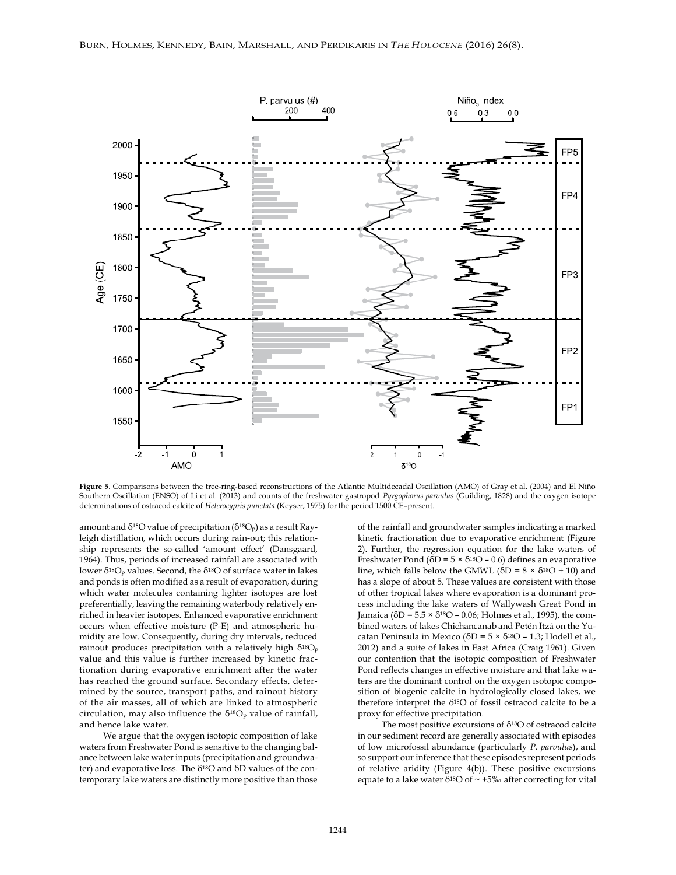

**Figure 5**. Comparisons between the tree-ring-based reconstructions of the Atlantic Multidecadal Oscillation (AMO) of Gray et al. (2004) and El Niño Southern Oscillation (ENSO) of Li et al. (2013) and counts of the freshwater gastropod *Pyrgophorus parvulus* (Guilding, 1828) and the oxygen isotope determinations of ostracod calcite of *Heterocypris punctata* (Keyser, 1975) for the period 1500 CE–present.

amount and  $\delta^{18}O$  value of precipitation ( $\delta^{18}O_p$ ) as a result Rayleigh distillation, which occurs during rain-out; this relationship represents the so-called 'amount effect' (Dansgaard, 1964). Thus, periods of increased rainfall are associated with lower  $\delta^{18}O_p$  values. Second, the  $\delta^{18}O$  of surface water in lakes and ponds is often modified as a result of evaporation, during which water molecules containing lighter isotopes are lost preferentially, leaving the remaining waterbody relatively enriched in heavier isotopes. Enhanced evaporative enrichment occurs when effective moisture (P-E) and atmospheric humidity are low. Consequently, during dry intervals, reduced rainout produces precipitation with a relatively high δ18O<sup>p</sup> value and this value is further increased by kinetic fractionation during evaporative enrichment after the water has reached the ground surface. Secondary effects, determined by the source, transport paths, and rainout history of the air masses, all of which are linked to atmospheric circulation, may also influence the  $\delta^{18}O_p$  value of rainfall, and hence lake water.

We argue that the oxygen isotopic composition of lake waters from Freshwater Pond is sensitive to the changing balance between lake water inputs (precipitation and groundwater) and evaporative loss. The  $\delta^{18}O$  and  $\delta D$  values of the contemporary lake waters are distinctly more positive than those

of the rainfall and groundwater samples indicating a marked kinetic fractionation due to evaporative enrichment (Figure 2). Further, the regression equation for the lake waters of Freshwater Pond ( $\delta D = 5 \times \delta^{18}O - 0.6$ ) defines an evaporative line, which falls below the GMWL ( $\delta D = 8 \times \delta^{18}O + 10$ ) and has a slope of about 5. These values are consistent with those of other tropical lakes where evaporation is a dominant process including the lake waters of Wallywash Great Pond in Jamaica ( $\delta D = 5.5 \times \delta^{18}O - 0.06$ ; Holmes et al., 1995), the combined waters of lakes Chichancanab and Petén Itzá on the Yucatan Peninsula in Mexico ( $\delta D = 5 \times \delta^{18}O - 1.3$ ; Hodell et al., 2012) and a suite of lakes in East Africa (Craig 1961). Given our contention that the isotopic composition of Freshwater Pond reflects changes in effective moisture and that lake waters are the dominant control on the oxygen isotopic composition of biogenic calcite in hydrologically closed lakes, we therefore interpret the  $\delta^{18}O$  of fossil ostracod calcite to be a proxy for effective precipitation.

The most positive excursions of δ18O of ostracod calcite in our sediment record are generally associated with episodes of low microfossil abundance (particularly *P. parvulus*), and so support our inference that these episodes represent periods of relative aridity (Figure 4(b)). These positive excursions equate to a lake water  $\delta^{18}O$  of  $\sim +5\%$  after correcting for vital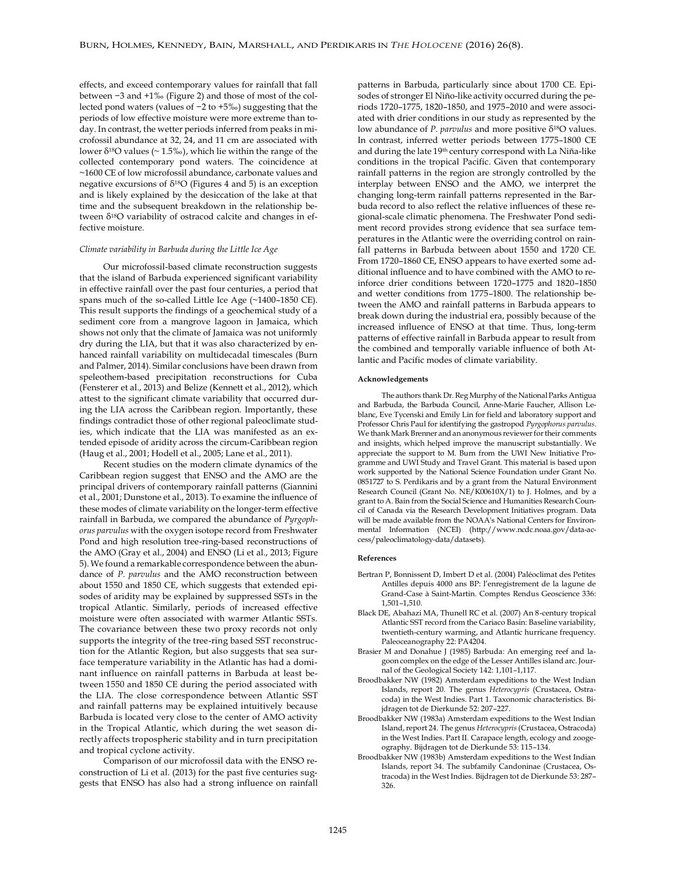effects, and exceed contemporary values for rainfall that fall between −3 and +1‰ (Figure 2) and those of most of the collected pond waters (values of −2 to +5‰) suggesting that the periods of low effective moisture were more extreme than today. In contrast, the wetter periods inferred from peaks in microfossil abundance at 32, 24, and 11 cm are associated with lower  $\delta^{18}$ O values (~ 1.5‰), which lie within the range of the collected contemporary pond waters. The coincidence at ~1600 CE of low microfossil abundance, carbonate values and negative excursions of  $\delta^{18}O$  (Figures 4 and 5) is an exception and is likely explained by the desiccation of the lake at that time and the subsequent breakdown in the relationship between δ18O variability of ostracod calcite and changes in effective moisture.

#### *Climate variability in Barbuda during the Little Ice Age*

Our microfossil-based climate reconstruction suggests that the island of Barbuda experienced significant variability in effective rainfall over the past four centuries, a period that spans much of the so-called Little Ice Age (~1400–1850 CE). This result supports the findings of a geochemical study of a sediment core from a mangrove lagoon in Jamaica, which shows not only that the climate of Jamaica was not uniformly dry during the LIA, but that it was also characterized by enhanced rainfall variability on multidecadal timescales (Burn and Palmer, 2014). Similar conclusions have been drawn from speleothem-based precipitation reconstructions for Cuba (Fensterer et al., 2013) and Belize (Kennett et al., 2012), which attest to the significant climate variability that occurred during the LIA across the Caribbean region. Importantly, these findings contradict those of other regional paleoclimate studies, which indicate that the LIA was manifested as an extended episode of aridity across the circum-Caribbean region (Haug et al., 2001; Hodell et al., 2005; Lane et al., 2011).

Recent studies on the modern climate dynamics of the Caribbean region suggest that ENSO and the AMO are the principal drivers of contemporary rainfall patterns (Giannini et al., 2001; Dunstone et al., 2013). To examine the influence of these modes of climate variability on the longer-term effective rainfall in Barbuda, we compared the abundance of *Pyrgophorus parvulus* with the oxygen isotope record from Freshwater Pond and high resolution tree-ring-based reconstructions of the AMO (Gray et al., 2004) and ENSO (Li et al., 2013; Figure 5). We found a remarkable correspondence between the abundance of *P. parvulus* and the AMO reconstruction between about 1550 and 1850 CE, which suggests that extended episodes of aridity may be explained by suppressed SSTs in the tropical Atlantic. Similarly, periods of increased effective moisture were often associated with warmer Atlantic SSTs. The covariance between these two proxy records not only supports the integrity of the tree-ring based SST reconstruction for the Atlantic Region, but also suggests that sea surface temperature variability in the Atlantic has had a dominant influence on rainfall patterns in Barbuda at least between 1550 and 1850 CE during the period associated with the LIA. The close correspondence between Atlantic SST and rainfall patterns may be explained intuitively because Barbuda is located very close to the center of AMO activity in the Tropical Atlantic, which during the wet season directly affects tropospheric stability and in turn precipitation and tropical cyclone activity.

Comparison of our microfossil data with the ENSO reconstruction of Li et al. (2013) for the past five centuries suggests that ENSO has also had a strong influence on rainfall

patterns in Barbuda, particularly since about 1700 CE. Episodes of stronger El Niño-like activity occurred during the periods 1720–1775, 1820–1850, and 1975–2010 and were associated with drier conditions in our study as represented by the low abundance of *P. parvulus* and more positive δ<sup>18</sup>O values. In contrast, inferred wetter periods between 1775–1800 CE and during the late 19<sup>th</sup> century correspond with La Niña-like conditions in the tropical Pacific. Given that contemporary rainfall patterns in the region are strongly controlled by the interplay between ENSO and the AMO, we interpret the changing long-term rainfall patterns represented in the Barbuda record to also reflect the relative influences of these regional-scale climatic phenomena. The Freshwater Pond sediment record provides strong evidence that sea surface temperatures in the Atlantic were the overriding control on rainfall patterns in Barbuda between about 1550 and 1720 CE. From 1720–1860 CE, ENSO appears to have exerted some additional influence and to have combined with the AMO to reinforce drier conditions between 1720–1775 and 1820–1850 and wetter conditions from 1775–1800. The relationship between the AMO and rainfall patterns in Barbuda appears to break down during the industrial era, possibly because of the increased influence of ENSO at that time. Thus, long-term patterns of effective rainfall in Barbuda appear to result from the combined and temporally variable influence of both Atlantic and Pacific modes of climate variability.

#### **Acknowledgements**

The authors thank Dr. Reg Murphy of the National Parks Antigua and Barbuda, the Barbuda Council, Anne-Marie Faucher, Allison Leblanc, Eve Tycenski and Emily Lin for field and laboratory support and Professor Chris Paul for identifying the gastropod *Pyrgophorus parvulus*. We thank Mark Brenner and an anonymous reviewer for their comments and insights, which helped improve the manuscript substantially. We appreciate the support to M. Burn from the UWI New Initiative Programme and UWI Study and Travel Grant. This material is based upon work supported by the National Science Foundation under Grant No. 0851727 to S. Perdikaris and by a grant from the Natural Environment Research Council (Grant No. NE/K00610X/1) to J. Holmes, and by a grant to A. Bain from the Social Science and Humanities Research Council of Canada via the Research Development Initiatives program. Data will be made available from the NOAA's National Centers for Environmental Information (NCEI) (http://www.ncdc.noaa.gov/data-access/paleoclimatology-data/datasets).

#### **References**

- Bertran P, Bonnissent D, Imbert D et al. (2004) Paléoclimat des Petites Antilles depuis 4000 ans BP: l'enregistrement de la lagune de Grand-Case à Saint-Martin. Comptes Rendus Geoscience 336: 1,501–1,510.
- Black DE, Abahazi MA, Thunell RC et al. (2007) An 8-century tropical Atlantic SST record from the Cariaco Basin: Baseline variability, twentieth-century warming, and Atlantic hurricane frequency. Paleoceanography 22: PA4204.
- Brasier M and Donahue J (1985) Barbuda: An emerging reef and lagoon complex on the edge of the Lesser Antilles island arc. Journal of the Geological Society 142: 1,101–1,117.
- Broodbakker NW (1982) Amsterdam expeditions to the West Indian Islands, report 20. The genus *Heterocypris* (Crustacea, Ostracoda) in the West Indies. Part 1. Taxonomic characteristics. Bijdragen tot de Dierkunde 52: 207–227.
- Broodbakker NW (1983a) Amsterdam expeditions to the West Indian Island, report 24. The genus *Heterocypris* (Crustacea, Ostracoda) in the West Indies. Part II. Carapace length, ecology and zoogeography. Bijdragen tot de Dierkunde 53: 115–134.
- Broodbakker NW (1983b) Amsterdam expeditions to the West Indian Islands, report 34. The subfamily Candoninae (Crustacea, Ostracoda) in the West Indies. Bijdragen tot de Dierkunde 53: 287– 326.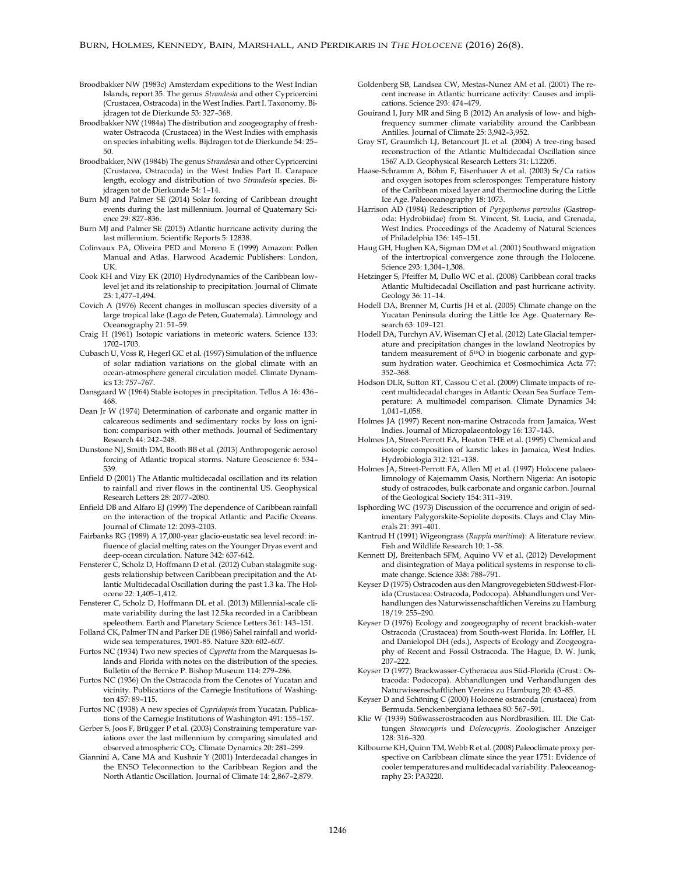- Broodbakker NW (1983c) Amsterdam expeditions to the West Indian Islands, report 35. The genus *Strandesia* and other Cypricercini (Crustacea, Ostracoda) in the West Indies. Part I. Taxonomy. Bijdragen tot de Dierkunde 53: 327–368.
- Broodbakker NW (1984a) The distribution and zoogeography of freshwater Ostracoda (Crustacea) in the West Indies with emphasis on species inhabiting wells. Bijdragen tot de Dierkunde 54: 25– 50.
- Broodbakker, NW (1984b) The genus *Strandesia* and other Cypricercini (Crustacea, Ostracoda) in the West Indies Part II. Carapace length, ecology and distribution of two *Strandesia* species. Bijdragen tot de Dierkunde 54: 1–14.
- Burn MJ and Palmer SE (2014) Solar forcing of Caribbean drought events during the last millennium. Journal of Quaternary Science 29: 827–836.
- Burn MJ and Palmer SE (2015) Atlantic hurricane activity during the last millennium. Scientific Reports 5: 12838.
- Colinvaux PA, Oliveira PED and Moreno E (1999) Amazon: Pollen Manual and Atlas. Harwood Academic Publishers: London, UK.
- Cook KH and Vizy EK (2010) Hydrodynamics of the Caribbean lowlevel jet and its relationship to precipitation. Journal of Climate 23: 1,477–1,494.
- Covich A (1976) Recent changes in molluscan species diversity of a large tropical lake (Lago de Peten, Guatemala). Limnology and Oceanography 21: 51–59.
- Craig H (1961) Isotopic variations in meteoric waters. Science 133: 1702–1703.
- Cubasch U, Voss R, Hegerl GC et al. (1997) Simulation of the influence of solar radiation variations on the global climate with an ocean-atmosphere general circulation model. Climate Dynamics 13: 757–767.
- Dansgaard W (1964) Stable isotopes in precipitation. Tellus A 16: 436– 468.
- Dean Jr W (1974) Determination of carbonate and organic matter in calcareous sediments and sedimentary rocks by loss on ignition: comparison with other methods. Journal of Sedimentary Research 44: 242–248.
- Dunstone NJ, Smith DM, Booth BB et al. (2013) Anthropogenic aerosol forcing of Atlantic tropical storms. Nature Geoscience 6: 534– 539.
- Enfield D (2001) The Atlantic multidecadal oscillation and its relation to rainfall and river flows in the continental US. Geophysical Research Letters 28: 2077–2080.
- Enfield DB and Alfaro EJ (1999) The dependence of Caribbean rainfall on the interaction of the tropical Atlantic and Pacific Oceans. Journal of Climate 12: 2093–2103.
- Fairbanks RG (1989) A 17,000-year glacio-eustatic sea level record: influence of glacial melting rates on the Younger Dryas event and deep-ocean circulation. Nature 342: 637-642.
- Fensterer C, Scholz D, Hoffmann D et al. (2012) Cuban stalagmite suggests relationship between Caribbean precipitation and the Atlantic Multidecadal Oscillation during the past 1.3 ka. The Holocene 22: 1,405–1,412.
- Fensterer C, Scholz D, Hoffmann DL et al. (2013) Millennial-scale climate variability during the last 12.5ka recorded in a Caribbean speleothem. Earth and Planetary Science Letters 361: 143–151.
- Folland CK, Palmer TN and Parker DE (1986) Sahel rainfall and worldwide sea temperatures, 1901-85. Nature 320: 602–607.
- Furtos NC (1934) Two new species of *Cypretta* from the Marquesas Islands and Florida with notes on the distribution of the species. Bulletin of the Bernice P. Bishop Museum 114: 279–286.
- Furtos NC (1936) On the Ostracoda from the Cenotes of Yucatan and vicinity. Publications of the Carnegie Institutions of Washington 457: 89–115.
- Furtos NC (1938) A new species of *Cypridopsis* from Yucatan. Publications of the Carnegie Institutions of Washington 491: 155–157.
- Gerber S, Joos F, Brügger P et al. (2003) Constraining temperature variations over the last millennium by comparing simulated and observed atmospheric CO2. Climate Dynamics 20: 281–299.
- Giannini A, Cane MA and Kushnir Y (2001) Interdecadal changes in the ENSO Teleconnection to the Caribbean Region and the North Atlantic Oscillation. Journal of Climate 14: 2,867–2,879.
- Goldenberg SB, Landsea CW, Mestas-Nunez AM et al. (2001) The recent increase in Atlantic hurricane activity: Causes and implications. Science 293: 474–479.
- Gouirand I, Jury MR and Sing B (2012) An analysis of low- and highfrequency summer climate variability around the Caribbean Antilles. Journal of Climate 25: 3,942–3,952.
- Gray ST, Graumlich LJ, Betancourt JL et al. (2004) A tree-ring based reconstruction of the Atlantic Multidecadal Oscillation since 1567 A.D. Geophysical Research Letters 31: L12205.
- Haase-Schramm A, Böhm F, Eisenhauer A et al. (2003) Sr/Ca ratios and oxygen isotopes from sclerosponges: Temperature history of the Caribbean mixed layer and thermocline during the Little Ice Age. Paleoceanography 18: 1073.
- Harrison AD (1984) Redescription of *Pyrgophorus parvulus* (Gastropoda: Hydrobiidae) from St. Vincent, St. Lucia, and Grenada, West Indies. Proceedings of the Academy of Natural Sciences of Philadelphia 136: 145–151.
- Haug GH, Hughen KA, Sigman DM et al. (2001) Southward migration of the intertropical convergence zone through the Holocene. Science 293: 1,304–1,308.
- Hetzinger S, Pfeiffer M, Dullo WC et al. (2008) Caribbean coral tracks Atlantic Multidecadal Oscillation and past hurricane activity. Geology 36: 11–14.
- Hodell DA, Brenner M, Curtis JH et al. (2005) Climate change on the Yucatan Peninsula during the Little Ice Age. Quaternary Research 63: 109–121.
- Hodell DA, Turchyn AV, Wiseman CJ et al. (2012) Late Glacial temperature and precipitation changes in the lowland Neotropics by tandem measurement of  $\delta^{18}O$  in biogenic carbonate and gypsum hydration water. Geochimica et Cosmochimica Acta 77: 352–368.
- Hodson DLR, Sutton RT, Cassou C et al. (2009) Climate impacts of recent multidecadal changes in Atlantic Ocean Sea Surface Temperature: A multimodel comparison. Climate Dynamics 34: 1,041–1,058.
- Holmes JA (1997) Recent non-marine Ostracoda from Jamaica, West Indies. Journal of Micropalaeontology 16: 137–143.
- Holmes JA, Street-Perrott FA, Heaton THE et al. (1995) Chemical and isotopic composition of karstic lakes in Jamaica, West Indies. Hydrobiologia 312: 121–138.
- Holmes JA, Street-Perrott FA, Allen MJ et al. (1997) Holocene palaeolimnology of Kajemamm Oasis, Northern Nigeria: An isotopic study of ostracodes, bulk carbonate and organic carbon. Journal of the Geological Society 154: 311–319.
- Isphording WC (1973) Discussion of the occurrence and origin of sedimentary Palygorskite-Sepiolite deposits. Clays and Clay Minerals 21: 391–401.
- Kantrud H (1991) Wigeongrass (*Ruppia maritima*): A literature review. Fish and Wildlife Research 10: 1–58.
- Kennett DJ, Breitenbach SFM, Aquino VV et al. (2012) Development and disintegration of Maya political systems in response to climate change. Science 338: 788–791.
- Keyser D (1975) Ostracoden aus den Mangrovegebieten Südwest-Florida (Crustacea: Ostracoda, Podocopa). Abhandlungen und Verhandlungen des Naturwissenschaftlichen Vereins zu Hamburg 18/19: 255–290.
- Keyser D (1976) Ecology and zoogeography of recent brackish-water Ostracoda (Crustacea) from South-west Florida. In: Löffler, H. and Danielopol DH (eds.), Aspects of Ecology and Zoogeography of Recent and Fossil Ostracoda. The Hague, D. W. Junk, 207–222.
- Keyser D (1977) Brackwasser-Cytheracea aus Süd-Florida (Crust.: Ostracoda: Podocopa). Abhandlungen und Verhandlungen des Naturwissenschaftlichen Vereins zu Hamburg 20: 43–85.
- Keyser D and Schöning C (2000) Holocene ostracoda (crustacea) from Bermuda. Senckenbergiana lethaea 80: 567–591.
- Klie W (1939) Süßwasserostracoden aus Nordbrasilien. III. Die Gattungen *Stenocypris* und *Dolerocypris*. Zoologischer Anzeiger 128: 316–320.
- Kilbourne KH, Quinn TM, Webb R et al. (2008) Paleoclimate proxy perspective on Caribbean climate since the year 1751: Evidence of cooler temperatures and multidecadal variability. Paleoceanography 23: PA3220.